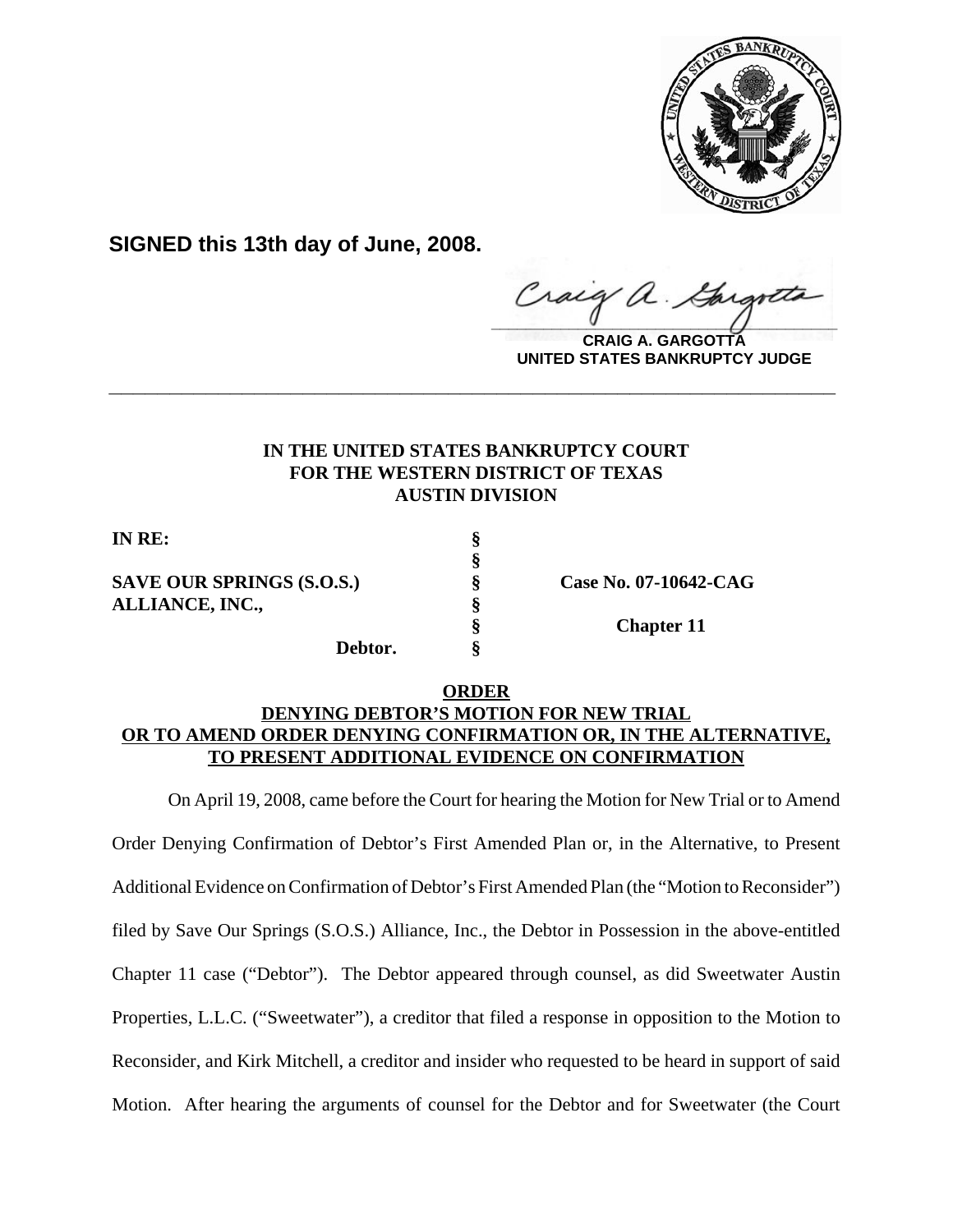

**SIGNED this 13th day of June, 2008.**

Craig a.  $\frac{1}{2}$ 

**CRAIG A. GARGOTTA UNITED STATES BANKRUPTCY JUDGE**

# **IN THE UNITED STATES BANKRUPTCY COURT FOR THE WESTERN DISTRICT OF TEXAS AUSTIN DIVISION**

**\_\_\_\_\_\_\_\_\_\_\_\_\_\_\_\_\_\_\_\_\_\_\_\_\_\_\_\_\_\_\_\_\_\_\_\_\_\_\_\_\_\_\_\_\_\_\_\_\_\_\_\_\_\_\_\_\_\_\_\_**

**§**

**IN RE: §**

# **SAVE OUR SPRINGS (S.O.S.) § Case No. 07-10642-CAG ALLIANCE, INC., §**

**§ Chapter 11**

**Debtor. §**

# **ORDER DENYING DEBTOR'S MOTION FOR NEW TRIAL OR TO AMEND ORDER DENYING CONFIRMATION OR, IN THE ALTERNATIVE, TO PRESENT ADDITIONAL EVIDENCE ON CONFIRMATION**

On April 19, 2008, came before the Court for hearing the Motion for New Trial or to Amend Order Denying Confirmation of Debtor's First Amended Plan or, in the Alternative, to Present Additional Evidence on Confirmation of Debtor's First Amended Plan (the "Motion to Reconsider") filed by Save Our Springs (S.O.S.) Alliance, Inc., the Debtor in Possession in the above-entitled Chapter 11 case ("Debtor"). The Debtor appeared through counsel, as did Sweetwater Austin Properties, L.L.C. ("Sweetwater"), a creditor that filed a response in opposition to the Motion to Reconsider, and Kirk Mitchell, a creditor and insider who requested to be heard in support of said Motion. After hearing the arguments of counsel for the Debtor and for Sweetwater (the Court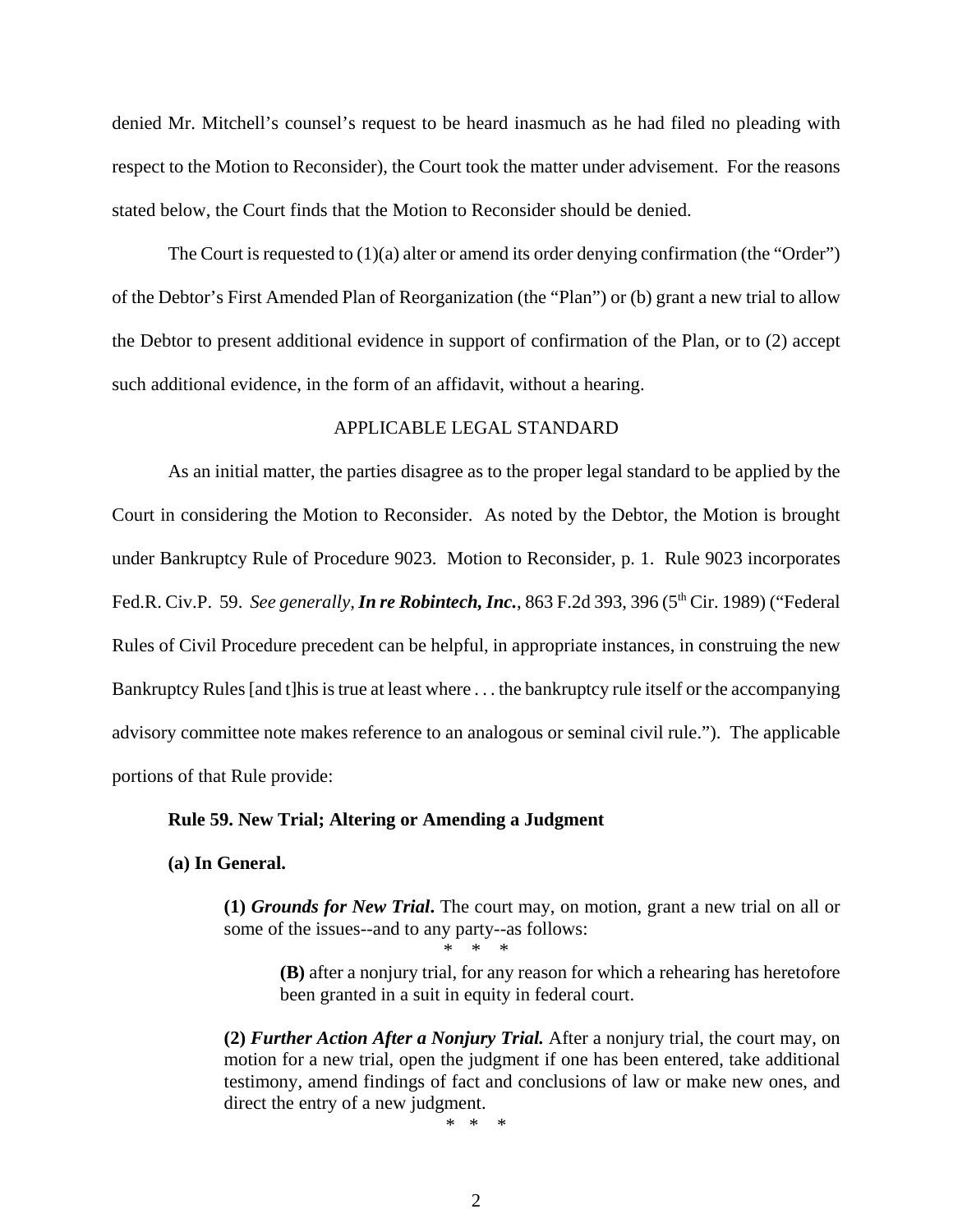denied Mr. Mitchell's counsel's request to be heard inasmuch as he had filed no pleading with respect to the Motion to Reconsider), the Court took the matter under advisement. For the reasons stated below, the Court finds that the Motion to Reconsider should be denied.

The Court is requested to  $(1)(a)$  alter or amend its order denying confirmation (the "Order") of the Debtor's First Amended Plan of Reorganization (the "Plan") or (b) grant a new trial to allow the Debtor to present additional evidence in support of confirmation of the Plan, or to (2) accept such additional evidence, in the form of an affidavit, without a hearing.

## APPLICABLE LEGAL STANDARD

As an initial matter, the parties disagree as to the proper legal standard to be applied by the Court in considering the Motion to Reconsider. As noted by the Debtor, the Motion is brought under Bankruptcy Rule of Procedure 9023. Motion to Reconsider, p. 1. Rule 9023 incorporates Fed.R. Civ.P. 59. *See generally*, *In re Robintech*, *Inc.*, 863 F.2d 393, 396 (5<sup>th</sup> Cir. 1989) ("Federal Rules of Civil Procedure precedent can be helpful, in appropriate instances, in construing the new Bankruptcy Rules [and t]his is true at least where . . . the bankruptcy rule itself or the accompanying advisory committee note makes reference to an analogous or seminal civil rule."). The applicable portions of that Rule provide:

## **Rule 59. New Trial; Altering or Amending a Judgment**

## **(a) In General.**

**(1)** *Grounds for New Trial***.** The court may, on motion, grant a new trial on all or some of the issues--and to any party--as follows:

\* \* \*

**(B)** after a nonjury trial, for any reason for which a rehearing has heretofore been granted in a suit in equity in federal court.

**(2)** *Further Action After a Nonjury Trial.* After a nonjury trial, the court may, on motion for a new trial, open the judgment if one has been entered, take additional testimony, amend findings of fact and conclusions of law or make new ones, and direct the entry of a new judgment.

\* \* \*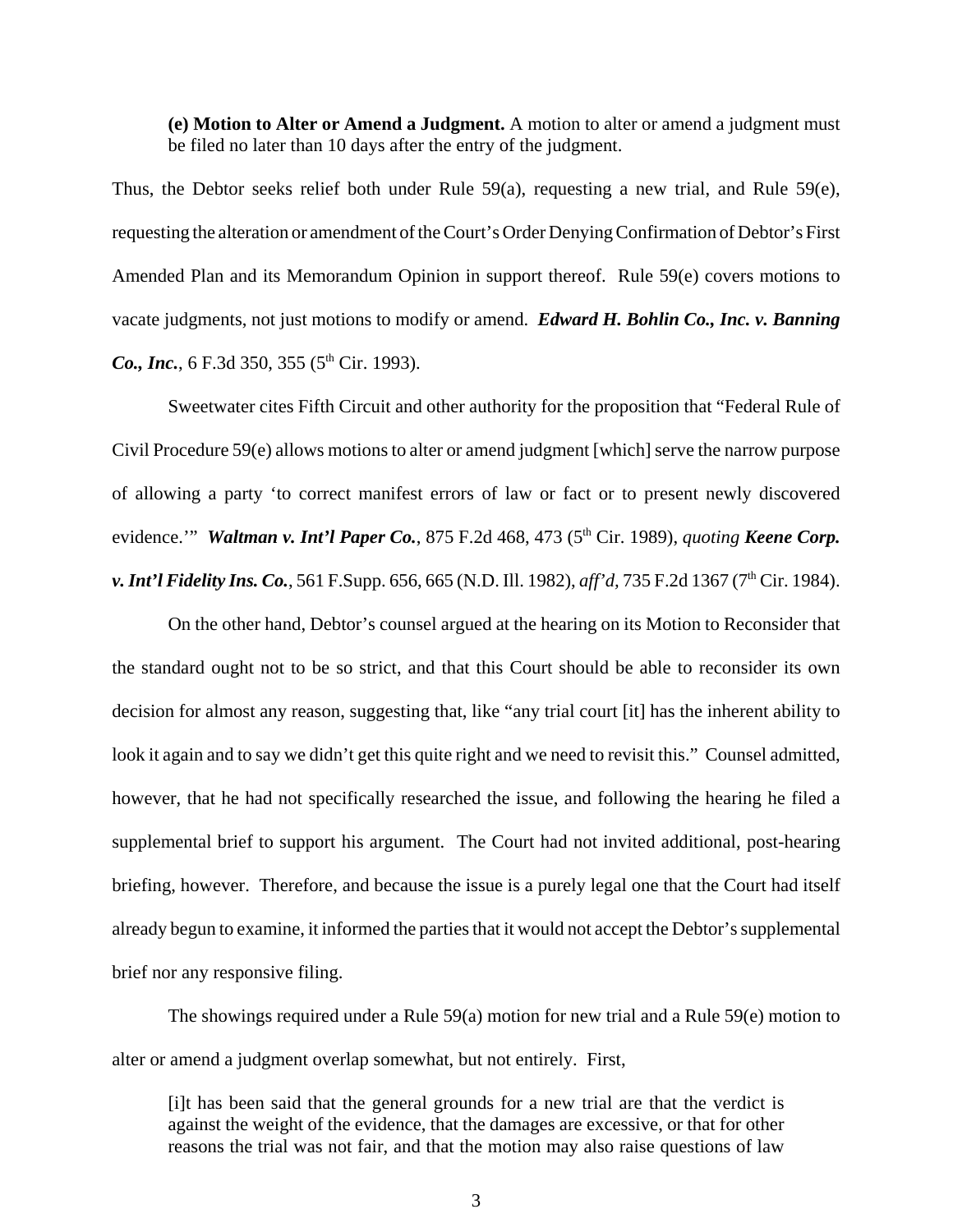**(e) Motion to Alter or Amend a Judgment.** A motion to alter or amend a judgment must be filed no later than 10 days after the entry of the judgment.

Thus, the Debtor seeks relief both under Rule  $59(a)$ , requesting a new trial, and Rule  $59(e)$ , requesting the alteration or amendment of the Court's Order Denying Confirmation of Debtor's First Amended Plan and its Memorandum Opinion in support thereof. Rule 59(e) covers motions to vacate judgments, not just motions to modify or amend. *Edward H. Bohlin Co., Inc. v. Banning Co., Inc.*, 6 F.3d 350, 355 (5<sup>th</sup> Cir. 1993).

Sweetwater cites Fifth Circuit and other authority for the proposition that "Federal Rule of Civil Procedure 59(e) allows motions to alter or amend judgment [which] serve the narrow purpose of allowing a party 'to correct manifest errors of law or fact or to present newly discovered evidence." *Waltman v. Int'l Paper Co., 875 F.2d 468, 473 (5<sup>th</sup> Cir. 1989), <i>quoting <b>Keene Corp. v. Int'l Fidelity Ins. Co.*, 561 F.Supp. 656, 665 (N.D. Ill. 1982), *aff'd*, 735 F.2d 1367 (7<sup>th</sup> Cir. 1984).

On the other hand, Debtor's counsel argued at the hearing on its Motion to Reconsider that the standard ought not to be so strict, and that this Court should be able to reconsider its own decision for almost any reason, suggesting that, like "any trial court [it] has the inherent ability to look it again and to say we didn't get this quite right and we need to revisit this." Counsel admitted, however, that he had not specifically researched the issue, and following the hearing he filed a supplemental brief to support his argument. The Court had not invited additional, post-hearing briefing, however. Therefore, and because the issue is a purely legal one that the Court had itself already begun to examine, it informed the parties that it would not accept the Debtor's supplemental brief nor any responsive filing.

The showings required under a Rule 59(a) motion for new trial and a Rule 59(e) motion to alter or amend a judgment overlap somewhat, but not entirely. First,

[i]t has been said that the general grounds for a new trial are that the verdict is against the weight of the evidence, that the damages are excessive, or that for other reasons the trial was not fair, and that the motion may also raise questions of law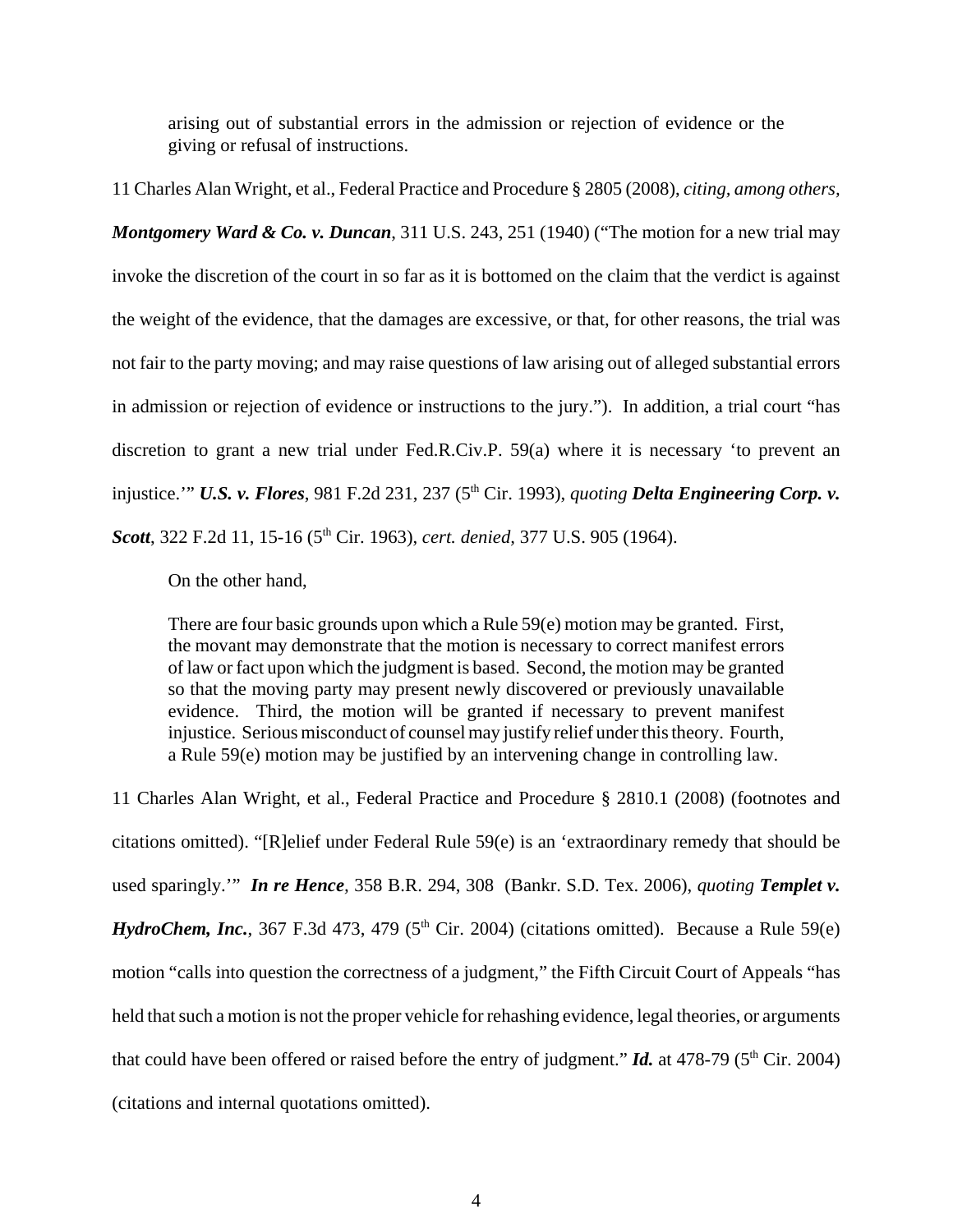arising out of substantial errors in the admission or rejection of evidence or the giving or refusal of instructions.

11 Charles Alan Wright, et al., Federal Practice and Procedure § 2805 (2008), *citing, among others, Montgomery Ward & Co. v. Duncan*, 311 U.S. 243, 251 (1940) ("The motion for a new trial may invoke the discretion of the court in so far as it is bottomed on the claim that the verdict is against the weight of the evidence, that the damages are excessive, or that, for other reasons, the trial was not fair to the party moving; and may raise questions of law arising out of alleged substantial errors in admission or rejection of evidence or instructions to the jury."). In addition, a trial court "has discretion to grant a new trial under Fed.R.Civ.P. 59(a) where it is necessary 'to prevent an injustice." *U.S. v. Flores*, 981 F.2d 231, 237 (5<sup>th</sup> Cir. 1993), *quoting Delta Engineering Corp. v. Scott*, 322 F.2d 11, 15-16 (5th Cir. 1963), *cert. denied,* 377 U.S. 905 (1964).

On the other hand,

There are four basic grounds upon which a Rule 59(e) motion may be granted. First, the movant may demonstrate that the motion is necessary to correct manifest errors of law or fact upon which the judgment is based. Second, the motion may be granted so that the moving party may present newly discovered or previously unavailable evidence. Third, the motion will be granted if necessary to prevent manifest injustice. Serious misconduct of counsel may justify relief under this theory. Fourth, a Rule 59(e) motion may be justified by an intervening change in controlling law.

11 Charles Alan Wright, et al., Federal Practice and Procedure § 2810.1 (2008) (footnotes and citations omitted). "[R]elief under Federal Rule 59(e) is an 'extraordinary remedy that should be used sparingly.'" *In re Hence,* 358 B.R. 294, 308 (Bankr. S.D. Tex. 2006), *quoting Templet v. HydroChem, Inc.*, 367 F.3d 473, 479 ( $5<sup>th</sup> Cir. 2004$ ) (citations omitted). Because a Rule 59(e) motion "calls into question the correctness of a judgment," the Fifth Circuit Court of Appeals "has held that such a motion is not the proper vehicle for rehashing evidence, legal theories, or arguments that could have been offered or raised before the entry of judgment." *Id.* at 478-79 ( $5<sup>th</sup>$  Cir. 2004) (citations and internal quotations omitted).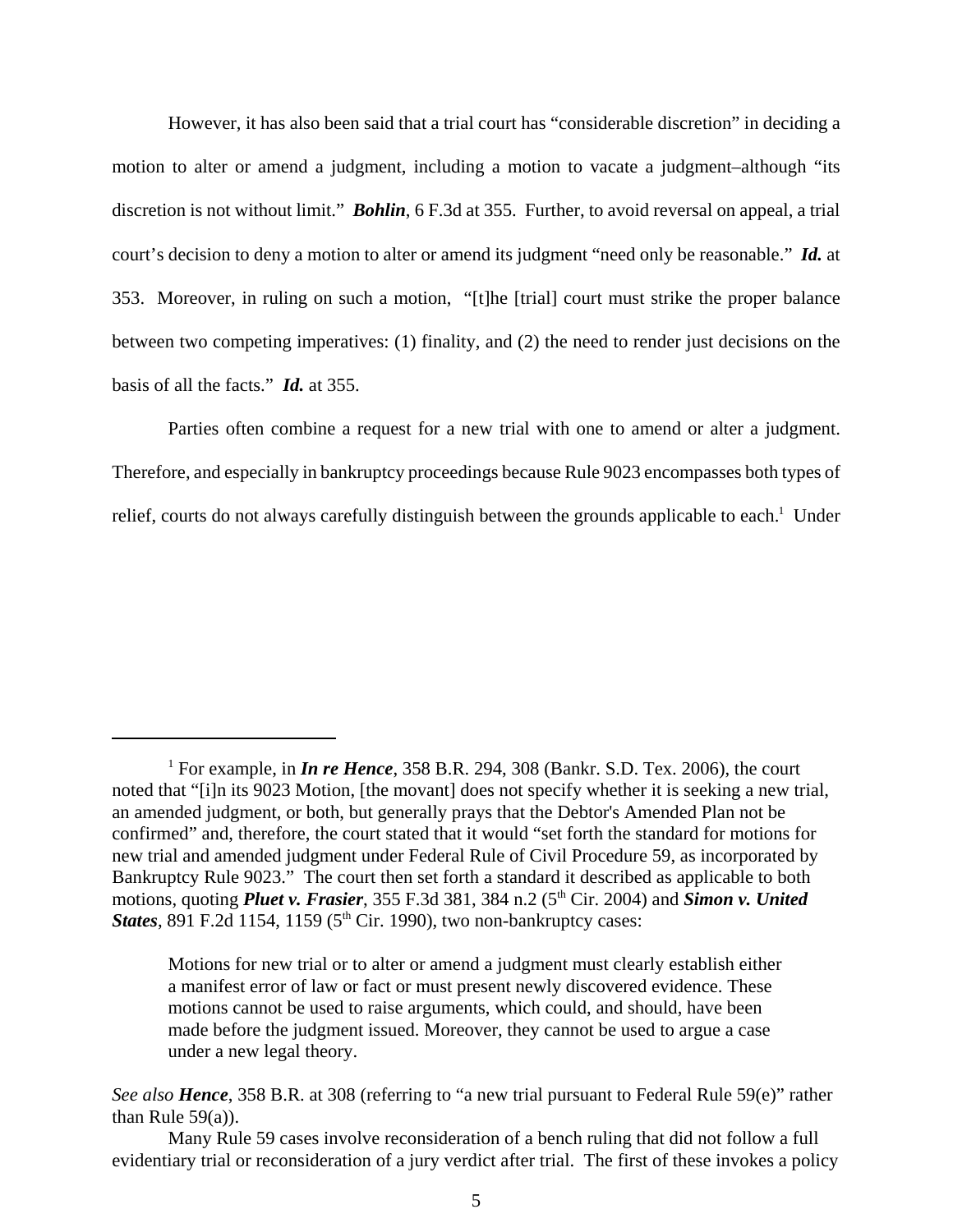However, it has also been said that a trial court has "considerable discretion" in deciding a motion to alter or amend a judgment, including a motion to vacate a judgment–although "its discretion is not without limit." *Bohlin*, 6 F.3d at 355. Further, to avoid reversal on appeal, a trial court's decision to deny a motion to alter or amend its judgment "need only be reasonable." *Id.* at 353. Moreover, in ruling on such a motion, "[t]he [trial] court must strike the proper balance between two competing imperatives: (1) finality, and (2) the need to render just decisions on the basis of all the facts." *Id.* at 355.

Parties often combine a request for a new trial with one to amend or alter a judgment. Therefore, and especially in bankruptcy proceedings because Rule 9023 encompasses both types of relief, courts do not always carefully distinguish between the grounds applicable to each.<sup>1</sup> Under

Motions for new trial or to alter or amend a judgment must clearly establish either a manifest error of law or fact or must present newly discovered evidence. These motions cannot be used to raise arguments, which could, and should, have been made before the judgment issued. Moreover, they cannot be used to argue a case under a new legal theory.

<sup>&</sup>lt;sup>1</sup> For example, in *In re Hence*, 358 B.R. 294, 308 (Bankr. S.D. Tex. 2006), the court noted that "[i]n its 9023 Motion, [the movant] does not specify whether it is seeking a new trial, an amended judgment, or both, but generally prays that the Debtor's Amended Plan not be confirmed" and, therefore, the court stated that it would "set forth the standard for motions for new trial and amended judgment under Federal Rule of Civil Procedure 59, as incorporated by Bankruptcy Rule 9023." The court then set forth a standard it described as applicable to both motions, quoting *Pluet v. Frasier*, 355 F.3d 381, 384 n.2 (5<sup>th</sup> Cir. 2004) and *Simon v. United States*, 891 F.2d 1154, 1159 (5<sup>th</sup> Cir. 1990), two non-bankruptcy cases:

*See also Hence*, 358 B.R. at 308 (referring to "a new trial pursuant to Federal Rule 59(e)" rather than Rule  $59(a)$ ).

Many Rule 59 cases involve reconsideration of a bench ruling that did not follow a full evidentiary trial or reconsideration of a jury verdict after trial. The first of these invokes a policy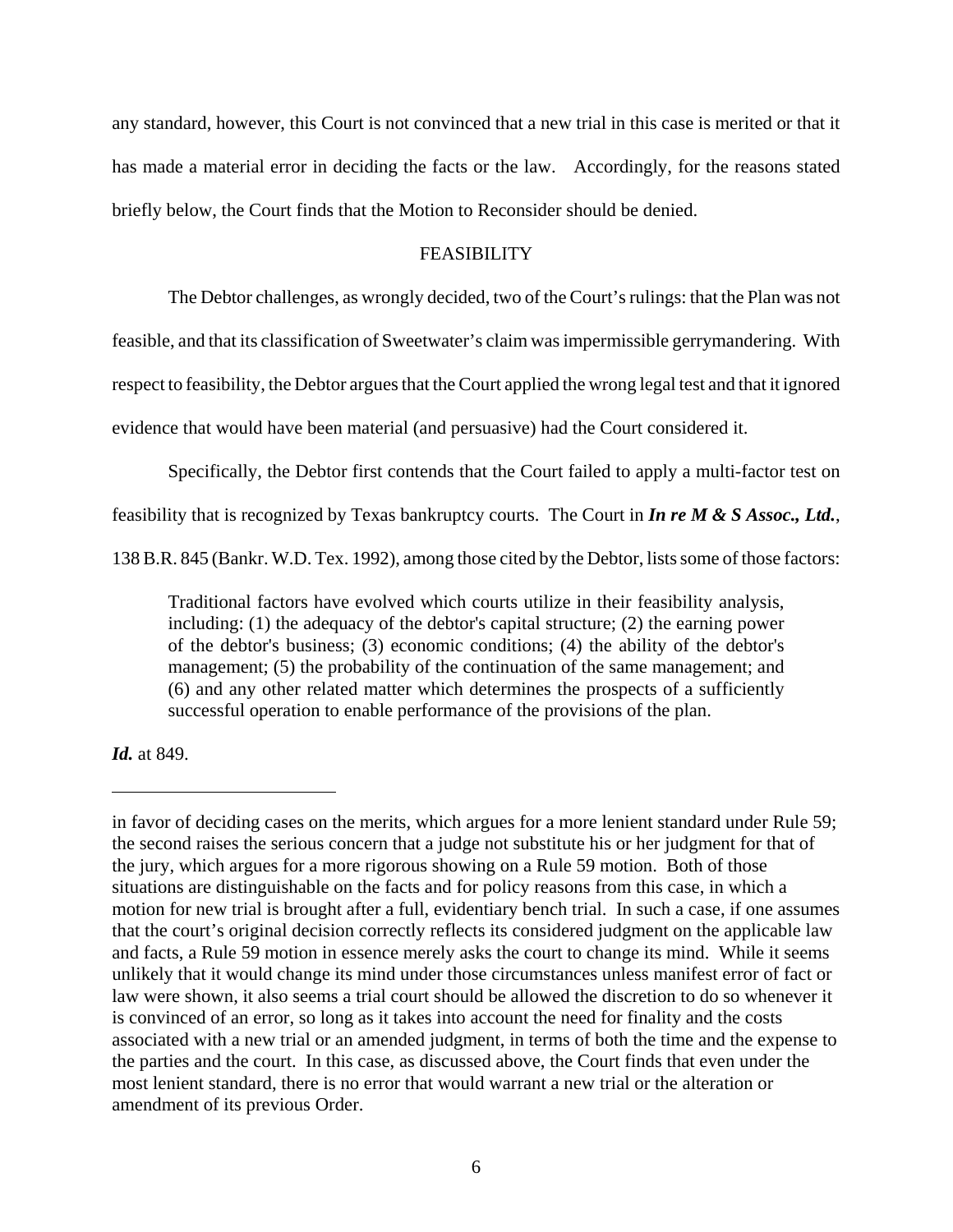any standard, however, this Court is not convinced that a new trial in this case is merited or that it has made a material error in deciding the facts or the law. Accordingly, for the reasons stated briefly below, the Court finds that the Motion to Reconsider should be denied.

## FEASIBILITY

The Debtor challenges, as wrongly decided, two of the Court's rulings: that the Plan was not

feasible, and that its classification of Sweetwater's claim was impermissible gerrymandering. With

respect to feasibility, the Debtor argues that the Court applied the wrong legal test and that it ignored

evidence that would have been material (and persuasive) had the Court considered it.

Specifically, the Debtor first contends that the Court failed to apply a multi-factor test on

feasibility that is recognized by Texas bankruptcy courts. The Court in *In re M & S Assoc., Ltd.*,

138 B.R. 845 (Bankr. W.D. Tex. 1992), among those cited by the Debtor, lists some of those factors:

Traditional factors have evolved which courts utilize in their feasibility analysis, including: (1) the adequacy of the debtor's capital structure; (2) the earning power of the debtor's business; (3) economic conditions; (4) the ability of the debtor's management; (5) the probability of the continuation of the same management; and (6) and any other related matter which determines the prospects of a sufficiently successful operation to enable performance of the provisions of the plan.

*Id.* at 849.

in favor of deciding cases on the merits, which argues for a more lenient standard under Rule 59; the second raises the serious concern that a judge not substitute his or her judgment for that of the jury, which argues for a more rigorous showing on a Rule 59 motion. Both of those situations are distinguishable on the facts and for policy reasons from this case, in which a motion for new trial is brought after a full, evidentiary bench trial. In such a case, if one assumes that the court's original decision correctly reflects its considered judgment on the applicable law and facts, a Rule 59 motion in essence merely asks the court to change its mind. While it seems unlikely that it would change its mind under those circumstances unless manifest error of fact or law were shown, it also seems a trial court should be allowed the discretion to do so whenever it is convinced of an error, so long as it takes into account the need for finality and the costs associated with a new trial or an amended judgment, in terms of both the time and the expense to the parties and the court. In this case, as discussed above, the Court finds that even under the most lenient standard, there is no error that would warrant a new trial or the alteration or amendment of its previous Order.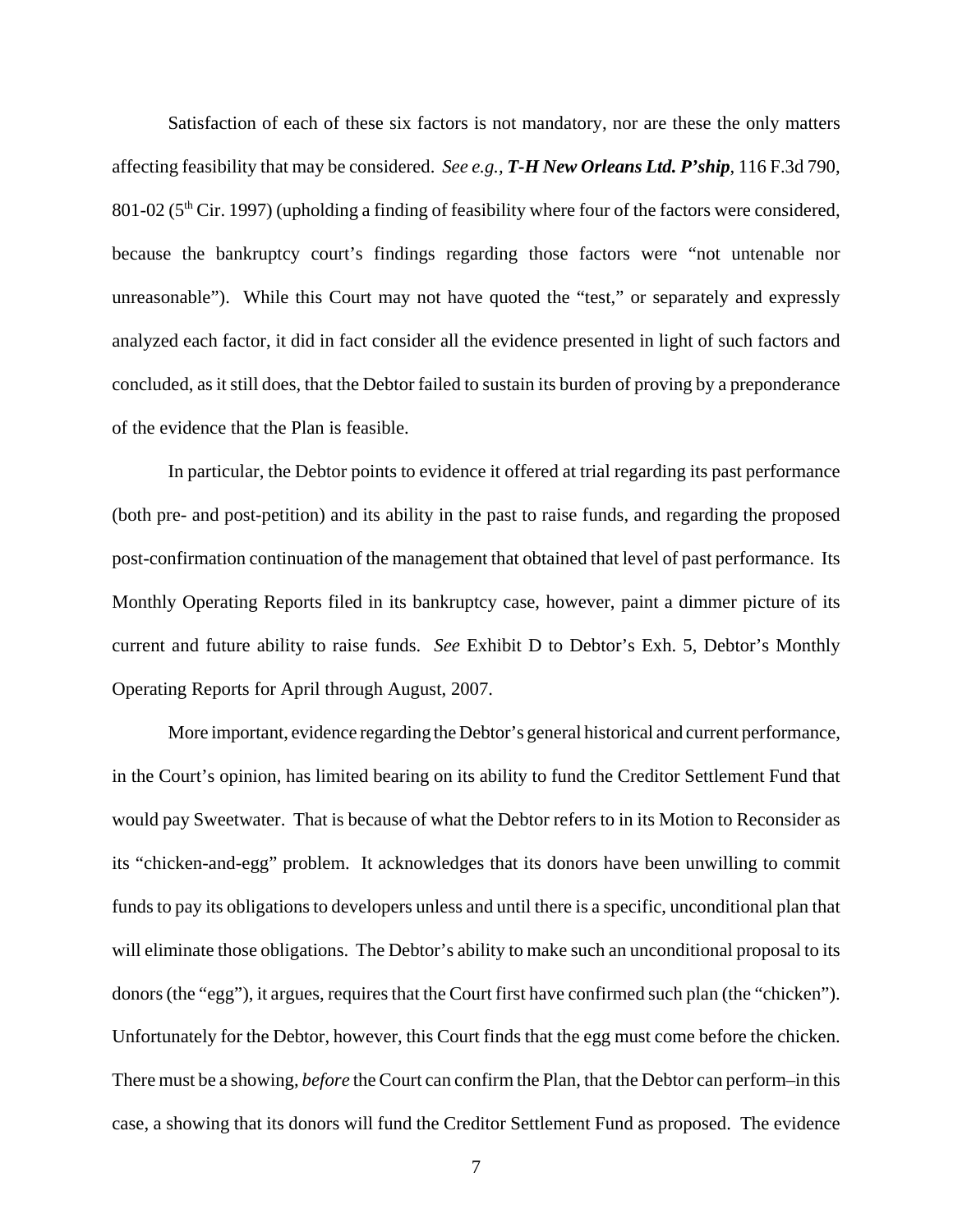Satisfaction of each of these six factors is not mandatory, nor are these the only matters affecting feasibility that may be considered. *See e.g., T-H New Orleans Ltd. P'ship*, 116 F.3d 790, 801-02 ( $5<sup>th</sup>$  Cir. 1997) (upholding a finding of feasibility where four of the factors were considered, because the bankruptcy court's findings regarding those factors were "not untenable nor unreasonable"). While this Court may not have quoted the "test," or separately and expressly analyzed each factor, it did in fact consider all the evidence presented in light of such factors and concluded, as it still does, that the Debtor failed to sustain its burden of proving by a preponderance of the evidence that the Plan is feasible.

In particular, the Debtor points to evidence it offered at trial regarding its past performance (both pre- and post-petition) and its ability in the past to raise funds, and regarding the proposed post-confirmation continuation of the management that obtained that level of past performance. Its Monthly Operating Reports filed in its bankruptcy case, however, paint a dimmer picture of its current and future ability to raise funds. *See* Exhibit D to Debtor's Exh. 5, Debtor's Monthly Operating Reports for April through August, 2007.

More important, evidence regarding the Debtor's general historical and current performance, in the Court's opinion, has limited bearing on its ability to fund the Creditor Settlement Fund that would pay Sweetwater. That is because of what the Debtor refers to in its Motion to Reconsider as its "chicken-and-egg" problem. It acknowledges that its donors have been unwilling to commit funds to pay its obligations to developers unless and until there is a specific, unconditional plan that will eliminate those obligations. The Debtor's ability to make such an unconditional proposal to its donors (the "egg"), it argues, requires that the Court first have confirmed such plan (the "chicken"). Unfortunately for the Debtor, however, this Court finds that the egg must come before the chicken. There must be a showing, *before* the Court can confirm the Plan, that the Debtor can perform–in this case, a showing that its donors will fund the Creditor Settlement Fund as proposed. The evidence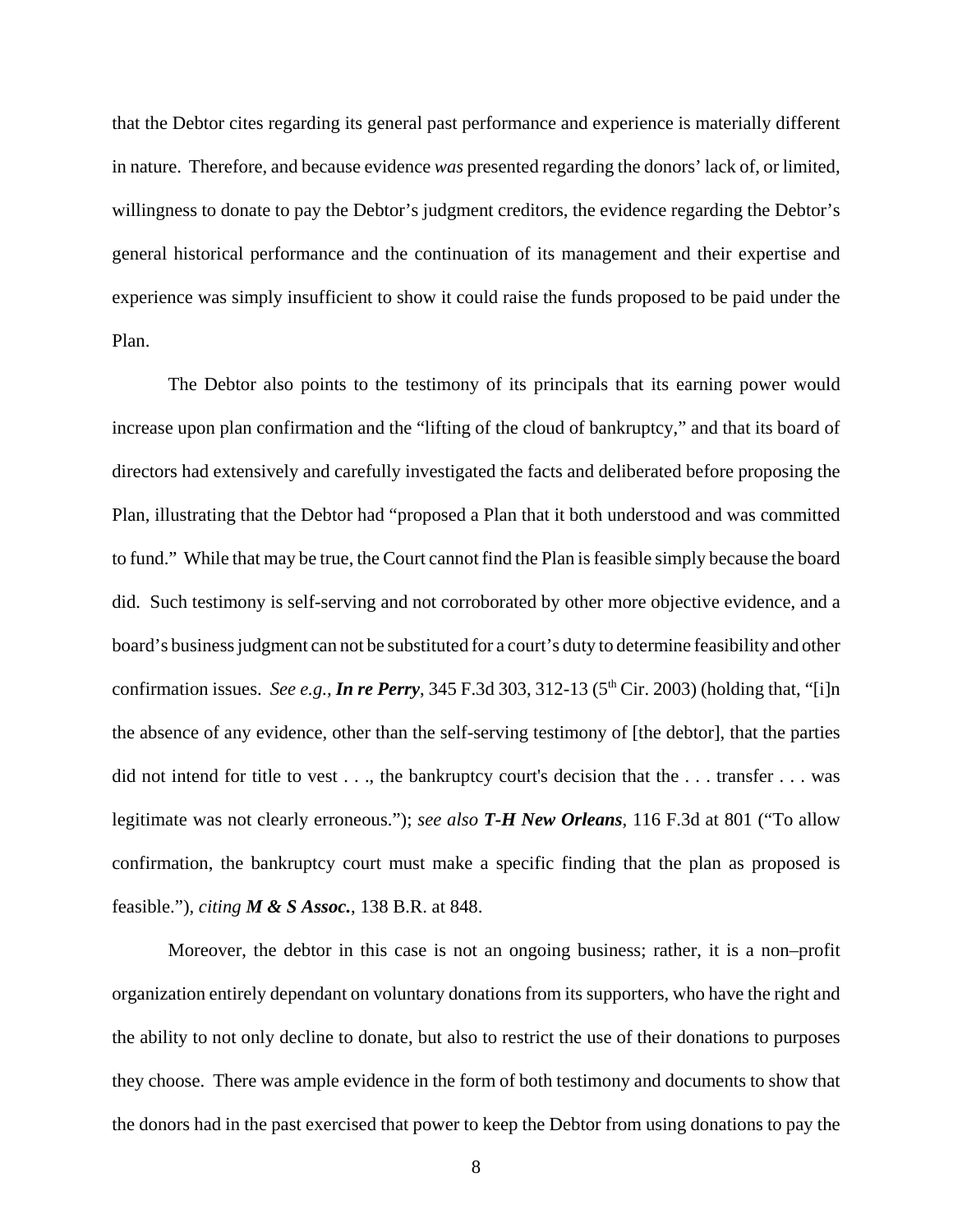that the Debtor cites regarding its general past performance and experience is materially different in nature. Therefore, and because evidence *was* presented regarding the donors' lack of, or limited, willingness to donate to pay the Debtor's judgment creditors, the evidence regarding the Debtor's general historical performance and the continuation of its management and their expertise and experience was simply insufficient to show it could raise the funds proposed to be paid under the Plan.

The Debtor also points to the testimony of its principals that its earning power would increase upon plan confirmation and the "lifting of the cloud of bankruptcy," and that its board of directors had extensively and carefully investigated the facts and deliberated before proposing the Plan, illustrating that the Debtor had "proposed a Plan that it both understood and was committed to fund." While that may be true, the Court cannot find the Plan is feasible simply because the board did. Such testimony is self-serving and not corroborated by other more objective evidence, and a board's business judgment can not be substituted for a court's duty to determine feasibility and other confirmation issues. *See e.g., In re Perry*, 345 F.3d 303, 312-13 ( $5<sup>th</sup>$  Cir. 2003) (holding that, "[i]n the absence of any evidence, other than the self-serving testimony of [the debtor], that the parties did not intend for title to vest . . ., the bankruptcy court's decision that the . . . transfer . . . was legitimate was not clearly erroneous."); *see also T-H New Orleans*, 116 F.3d at 801 ("To allow confirmation, the bankruptcy court must make a specific finding that the plan as proposed is feasible."), *citing M & S Assoc.*, 138 B.R. at 848.

Moreover, the debtor in this case is not an ongoing business; rather, it is a non–profit organization entirely dependant on voluntary donations from its supporters, who have the right and the ability to not only decline to donate, but also to restrict the use of their donations to purposes they choose. There was ample evidence in the form of both testimony and documents to show that the donors had in the past exercised that power to keep the Debtor from using donations to pay the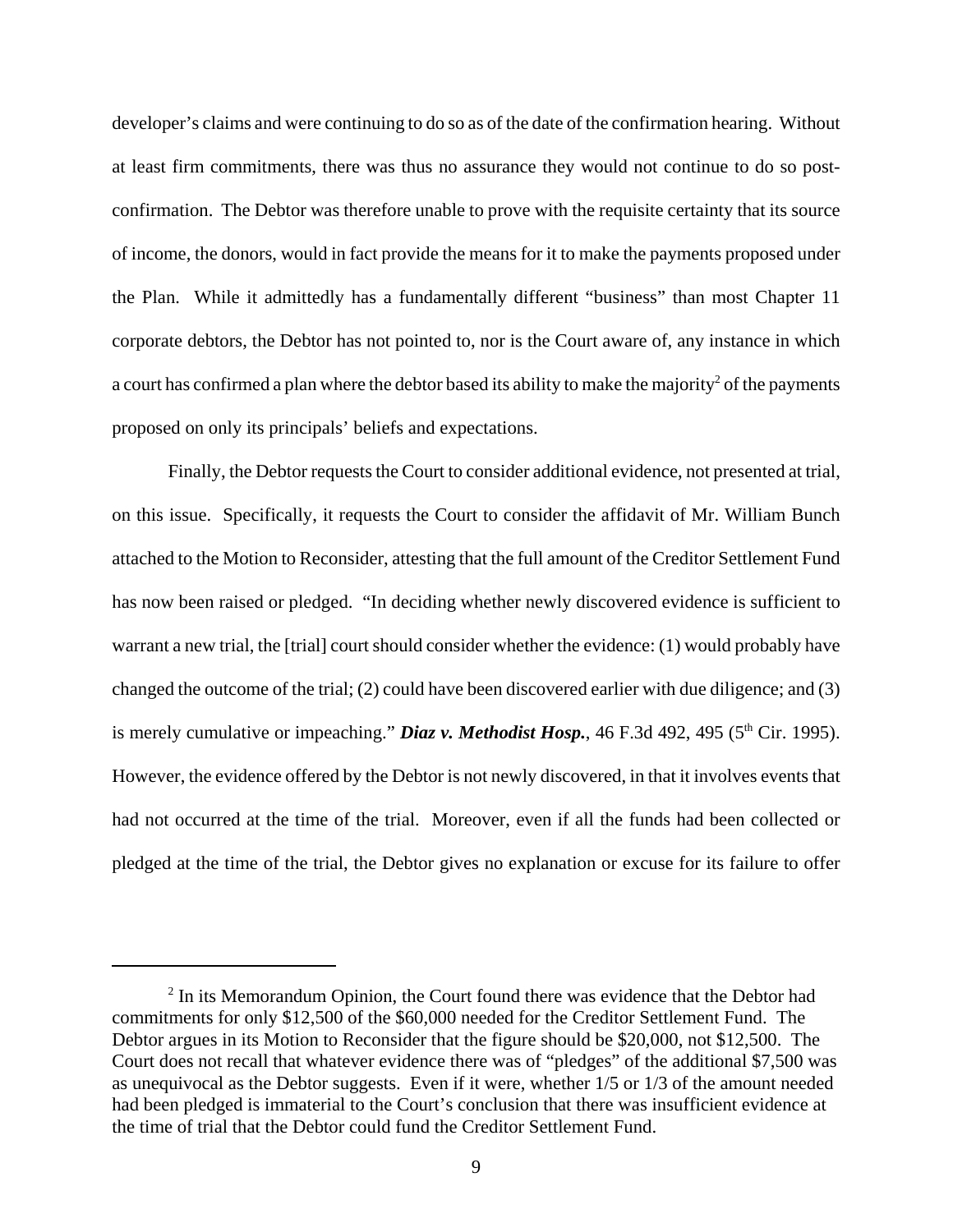developer's claims and were continuing to do so as of the date of the confirmation hearing. Without at least firm commitments, there was thus no assurance they would not continue to do so postconfirmation. The Debtor was therefore unable to prove with the requisite certainty that its source of income, the donors, would in fact provide the means for it to make the payments proposed under the Plan. While it admittedly has a fundamentally different "business" than most Chapter 11 corporate debtors, the Debtor has not pointed to, nor is the Court aware of, any instance in which a court has confirmed a plan where the debtor based its ability to make the majority<sup>2</sup> of the payments proposed on only its principals' beliefs and expectations.

Finally, the Debtor requests the Court to consider additional evidence, not presented at trial, on this issue. Specifically, it requests the Court to consider the affidavit of Mr. William Bunch attached to the Motion to Reconsider, attesting that the full amount of the Creditor Settlement Fund has now been raised or pledged. "In deciding whether newly discovered evidence is sufficient to warrant a new trial, the [trial] court should consider whether the evidence: (1) would probably have changed the outcome of the trial; (2) could have been discovered earlier with due diligence; and (3) is merely cumulative or impeaching." *Diaz v. Methodist Hosp.*, 46 F.3d 492, 495 (5<sup>th</sup> Cir. 1995). However, the evidence offered by the Debtor is not newly discovered, in that it involves events that had not occurred at the time of the trial. Moreover, even if all the funds had been collected or pledged at the time of the trial, the Debtor gives no explanation or excuse for its failure to offer

<sup>&</sup>lt;sup>2</sup> In its Memorandum Opinion, the Court found there was evidence that the Debtor had commitments for only \$12,500 of the \$60,000 needed for the Creditor Settlement Fund. The Debtor argues in its Motion to Reconsider that the figure should be \$20,000, not \$12,500. The Court does not recall that whatever evidence there was of "pledges" of the additional \$7,500 was as unequivocal as the Debtor suggests. Even if it were, whether 1/5 or 1/3 of the amount needed had been pledged is immaterial to the Court's conclusion that there was insufficient evidence at the time of trial that the Debtor could fund the Creditor Settlement Fund.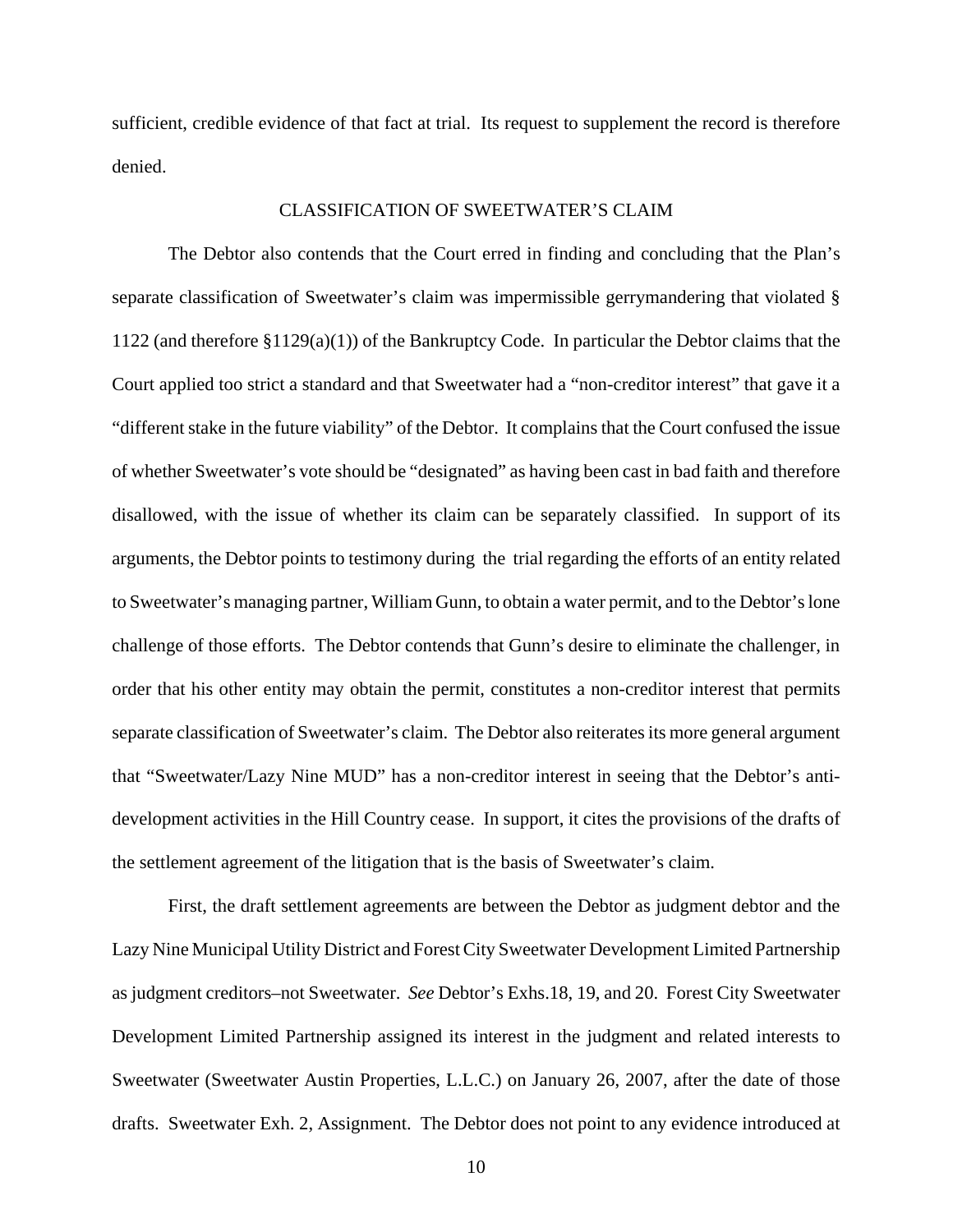sufficient, credible evidence of that fact at trial. Its request to supplement the record is therefore denied.

## CLASSIFICATION OF SWEETWATER'S CLAIM

The Debtor also contends that the Court erred in finding and concluding that the Plan's separate classification of Sweetwater's claim was impermissible gerrymandering that violated § 1122 (and therefore §1129(a)(1)) of the Bankruptcy Code. In particular the Debtor claims that the Court applied too strict a standard and that Sweetwater had a "non-creditor interest" that gave it a "different stake in the future viability" of the Debtor. It complains that the Court confused the issue of whether Sweetwater's vote should be "designated" as having been cast in bad faith and therefore disallowed, with the issue of whether its claim can be separately classified. In support of its arguments, the Debtor points to testimony during the trial regarding the efforts of an entity related to Sweetwater's managing partner, William Gunn, to obtain a water permit, and to the Debtor's lone challenge of those efforts. The Debtor contends that Gunn's desire to eliminate the challenger, in order that his other entity may obtain the permit, constitutes a non-creditor interest that permits separate classification of Sweetwater's claim. The Debtor also reiterates its more general argument that "Sweetwater/Lazy Nine MUD" has a non-creditor interest in seeing that the Debtor's antidevelopment activities in the Hill Country cease. In support, it cites the provisions of the drafts of the settlement agreement of the litigation that is the basis of Sweetwater's claim.

First, the draft settlement agreements are between the Debtor as judgment debtor and the Lazy Nine Municipal Utility District and Forest City Sweetwater Development Limited Partnership as judgment creditors–not Sweetwater. *See* Debtor's Exhs.18, 19, and 20. Forest City Sweetwater Development Limited Partnership assigned its interest in the judgment and related interests to Sweetwater (Sweetwater Austin Properties, L.L.C.) on January 26, 2007, after the date of those drafts. Sweetwater Exh. 2, Assignment. The Debtor does not point to any evidence introduced at